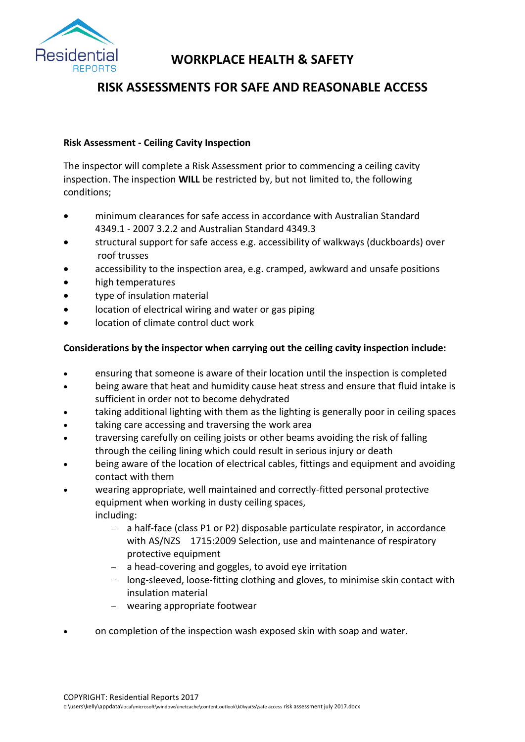

# **WORKPLACE HEALTH & SAFETY**

# **RISK ASSESSMENTS FOR SAFE AND REASONABLE ACCESS**

## **Risk Assessment - Ceiling Cavity Inspection**

The inspector will complete a Risk Assessment prior to commencing a ceiling cavity inspection. The inspection **WILL** be restricted by, but not limited to, the following conditions;

- minimum clearances for safe access in accordance with Australian Standard 4349.1 - 2007 3.2.2 and Australian Standard 4349.3
- structural support for safe access e.g. accessibility of walkways (duckboards) over roof trusses
- accessibility to the inspection area, e.g. cramped, awkward and unsafe positions
- high temperatures
- type of insulation material
- location of electrical wiring and water or gas piping
- location of climate control duct work

## **Considerations by the inspector when carrying out the ceiling cavity inspection include:**

- ensuring that someone is aware of their location until the inspection is completed
- being aware that heat and humidity cause heat stress and ensure that fluid intake is sufficient in order not to become dehydrated
- taking additional lighting with them as the lighting is generally poor in ceiling spaces
- taking care accessing and traversing the work area
- traversing carefully on ceiling joists or other beams avoiding the risk of falling through the ceiling lining which could result in serious injury or death
- being aware of the location of electrical cables, fittings and equipment and avoiding contact with them
- wearing appropriate, well maintained and correctly-fitted personal protective equipment when working in dusty ceiling spaces, including:
	- a half-face (class P1 or P2) disposable particulate respirator, in accordance with AS/NZS 1715:2009 Selection, use and maintenance of respiratory [protective equipment](http://infostore.saiglobal.com/store/Details.aspx?ProductID=1092559)
	- a head-covering and goggles, to avoid eye irritation
	- long-sleeved, loose-fitting clothing and gloves, to minimise skin contact with insulation material
	- wearing appropriate footwear
- on completion of the inspection wash exposed skin with soap and water.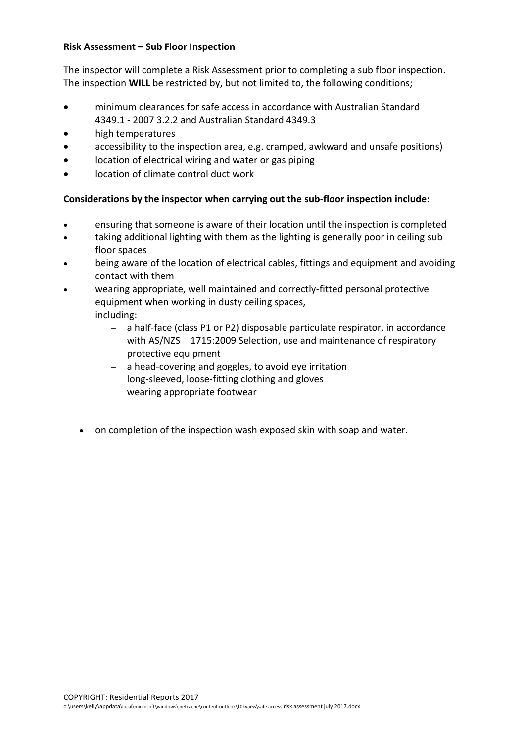#### **Risk Assessment – Sub Floor Inspection**

The inspector will complete a Risk Assessment prior to completing a sub floor inspection. The inspection **WILL** be restricted by, but not limited to, the following conditions;

- minimum clearances for safe access in accordance with Australian Standard 4349.1 - 2007 3.2.2 and Australian Standard 4349.3
- high temperatures
- accessibility to the inspection area, e.g. cramped, awkward and unsafe positions)
- location of electrical wiring and water or gas piping
- location of climate control duct work

## **Considerations by the inspector when carrying out the sub-floor inspection include:**

- ensuring that someone is aware of their location until the inspection is completed
- taking additional lighting with them as the lighting is generally poor in ceiling sub floor spaces
- being aware of the location of electrical cables, fittings and equipment and avoiding contact with them
- wearing appropriate, well maintained and correctly-fitted personal protective equipment when working in dusty ceiling spaces,

including:

- a half-face (class P1 or P2) disposable particulate respirator, in accordance with AS/NZS 1715:2009 Selection, use and maintenance of respiratory [protective equipment](http://infostore.saiglobal.com/store/Details.aspx?ProductID=1092559)
- a head-covering and goggles, to avoid eye irritation
- long-sleeved, loose-fitting clothing and gloves
- wearing appropriate footwear
- on completion of the inspection wash exposed skin with soap and water.